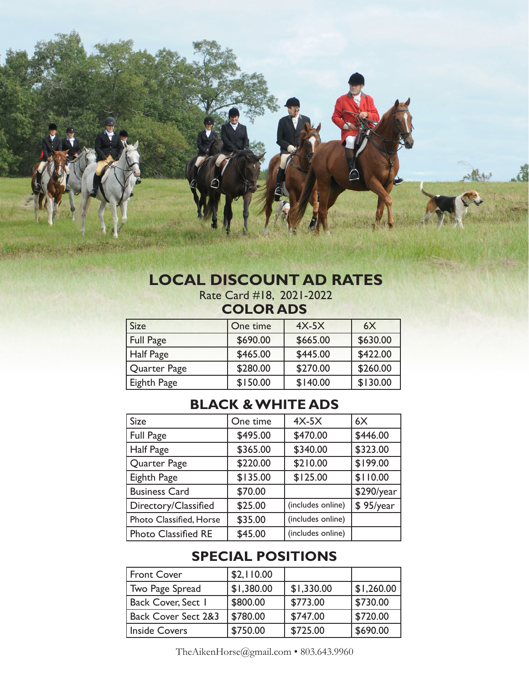### **LOCAL DISCOUNT AD RATES** Rate Card #18, 2021-2022

# **COLOR ADS**

| <b>Size</b>      | One time | $4X-5X$  | 6X       |
|------------------|----------|----------|----------|
| <b>Full Page</b> | \$690.00 | \$665.00 | \$630.00 |
| Half Page        | \$465.00 | \$445.00 | \$422.00 |
| Quarter Page     | \$280.00 | \$270.00 | \$260.00 |
| Eighth Page      | \$150.00 | \$140.00 | \$130.00 |

## **BLACK & WHITE ADS**

| <b>Size</b>                | One time | $4X-5X$           | 6X         |
|----------------------------|----------|-------------------|------------|
| <b>Full Page</b>           | \$495.00 | \$470.00          | \$446.00   |
| Half Page                  | \$365.00 | \$340.00          | \$323.00   |
| Quarter Page               | \$220.00 | \$210.00          | \$199.00   |
| Eighth Page                | \$135.00 | \$125.00          | \$110.00   |
| <b>Business Card</b>       | \$70.00  |                   | \$290/year |
| Directory/Classified       | \$25.00  | (includes online) | \$95/year  |
| Photo Classified, Horse    | \$35.00  | (includes online) |            |
| <b>Photo Classified RE</b> | \$45.00  | (includes online) |            |

## **SPECIAL POSITIONS**

| Front Cover                    | \$2,110.00 |            |            |
|--------------------------------|------------|------------|------------|
| Two Page Spread                | \$1,380.00 | \$1,330.00 | \$1,260.00 |
| <b>Back Cover, Sect 1</b>      | \$800.00   | \$773.00   | \$730.00   |
| <b>Back Cover Sect 2&amp;3</b> | \$780.00   | \$747.00   | \$720.00   |
| <b>Inside Covers</b>           | \$750.00   | \$725.00   | \$690.00   |

TheAikenHorse@gmail.com • 803.643.9960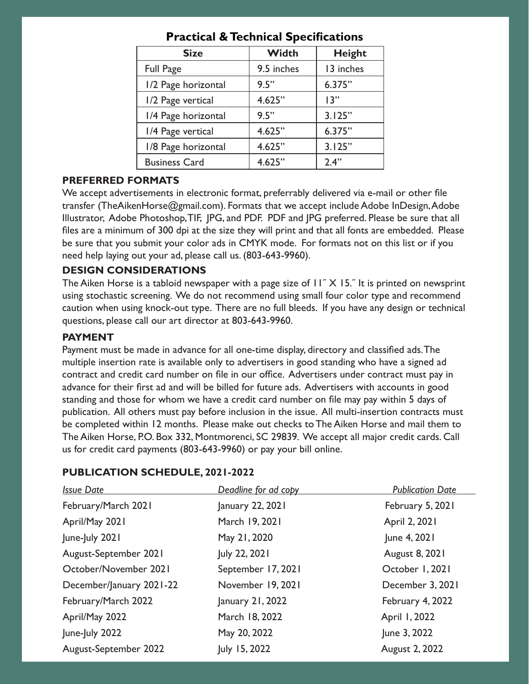| <b>Size</b>          | <b>Width</b> | <b>Height</b> |
|----------------------|--------------|---------------|
| <b>Full Page</b>     | 9.5 inches   | 13 inches     |
| 1/2 Page horizontal  | 9.5"         | 6.375"        |
| 1/2 Page vertical    | 4.625"       | 13"           |
| 1/4 Page horizontal  | 9.5"         | 3.125"        |
| 1/4 Page vertical    | 4.625"       | 6.375"        |
| 1/8 Page horizontal  | 4.625"       | 3.125"        |
| <b>Business Card</b> | 4.625"       | 2.4"          |

### **Practical & Technical Specifications**

#### **PREFERRED FORMATS**

We accept advertisements in electronic format, preferrably delivered via e-mail or other file transfer (TheAikenHorse@gmail.com). Formats that we accept include Adobe InDesign, Adobe Illustrator, Adobe Photoshop, TIF, JPG, and PDF. PDF and JPG preferred. Please be sure that all files are a minimum of 300 dpi at the size they will print and that all fonts are embedded. Please be sure that you submit your color ads in CMYK mode. For formats not on this list or if you need help laying out your ad, please call us. (803-643-9960).

#### **DESIGN CONSIDERATIONS**

The Aiken Horse is a tabloid newspaper with a page size of  $11''$  X 15." It is printed on newsprint using stochastic screening. We do not recommend using small four color type and recommend caution when using knock-out type. There are no full bleeds. If you have any design or technical questions, please call our art director at 803-643-9960.

#### **PAYMENT**

Payment must be made in advance for all one-time display, directory and classified ads. The multiple insertion rate is available only to advertisers in good standing who have a signed ad contract and credit card number on file in our office. Advertisers under contract must pay in advance for their first ad and will be billed for future ads. Advertisers with accounts in good standing and those for whom we have a credit card number on file may pay within 5 days of publication. All others must pay before inclusion in the issue. All multi-insertion contracts must be completed within 12 months. Please make out checks to The Aiken Horse and mail them to The Aiken Horse, P.O. Box 332, Montmorenci, SC 29839. We accept all major credit cards. Call us for credit card payments (803-643-9960) or pay your bill online.

| <b>Issue Date</b>        | Deadline for ad copy | <b>Publication Date</b> |
|--------------------------|----------------------|-------------------------|
| February/March 2021      | January 22, 2021     | February 5, 2021        |
| April/May 2021           | March 19, 2021       | April 2, 2021           |
| June-July 2021           | May 21, 2020         | June 4, 2021            |
| August-September 2021    | July 22, 2021        | <b>August 8, 2021</b>   |
| October/November 2021    | September 17, 2021   | October 1, 2021         |
| December/January 2021-22 | November 19, 2021    | December 3, 2021        |
| February/March 2022      | January 21, 2022     | February 4, 2022        |
| April/May 2022           | March 18, 2022       | April 1, 2022           |
| June-July 2022           | May 20, 2022         | June 3, 2022            |
| August-September 2022    | July 15, 2022        | August 2, 2022          |
|                          |                      |                         |

#### **PUBLICATION SCHEDULE, 2021-2022**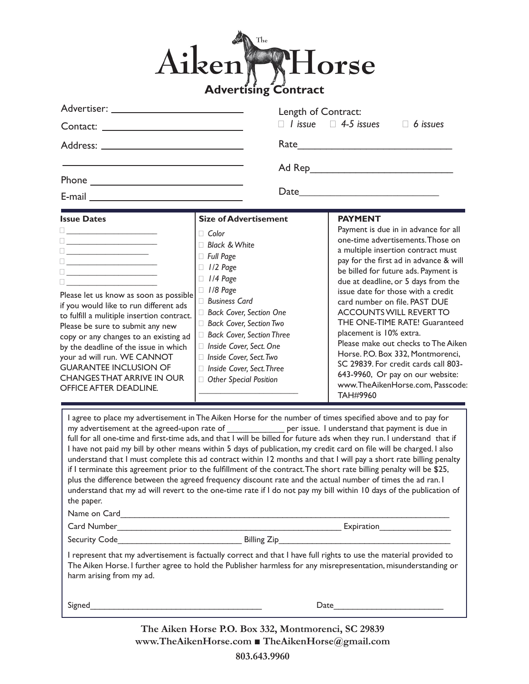### Aiken The orse **Advertising Contract**

| Advertiser: National Advertiser and Advertiser and Advertiser and Advertiser and Advertiser and Advertiser and                                                                                                                                                                                                                                                                                                                                                                                                                                                                                                                                                                                                                                                                                                                                                                                                                                                                                                                                                                                                                                                                                                                                  |                                                                                                                                                                                                                                                                                                                                                                      | Length of Contract:                                     |                                                       |                                                                                                                                                                                                                                                                                                                                                                                                                                                                                                                                                                                |
|-------------------------------------------------------------------------------------------------------------------------------------------------------------------------------------------------------------------------------------------------------------------------------------------------------------------------------------------------------------------------------------------------------------------------------------------------------------------------------------------------------------------------------------------------------------------------------------------------------------------------------------------------------------------------------------------------------------------------------------------------------------------------------------------------------------------------------------------------------------------------------------------------------------------------------------------------------------------------------------------------------------------------------------------------------------------------------------------------------------------------------------------------------------------------------------------------------------------------------------------------|----------------------------------------------------------------------------------------------------------------------------------------------------------------------------------------------------------------------------------------------------------------------------------------------------------------------------------------------------------------------|---------------------------------------------------------|-------------------------------------------------------|--------------------------------------------------------------------------------------------------------------------------------------------------------------------------------------------------------------------------------------------------------------------------------------------------------------------------------------------------------------------------------------------------------------------------------------------------------------------------------------------------------------------------------------------------------------------------------|
|                                                                                                                                                                                                                                                                                                                                                                                                                                                                                                                                                                                                                                                                                                                                                                                                                                                                                                                                                                                                                                                                                                                                                                                                                                                 |                                                                                                                                                                                                                                                                                                                                                                      | $\Box$ <i>l</i> issue $\Box$ 4-5 issues $\Box$ 6 issues |                                                       |                                                                                                                                                                                                                                                                                                                                                                                                                                                                                                                                                                                |
|                                                                                                                                                                                                                                                                                                                                                                                                                                                                                                                                                                                                                                                                                                                                                                                                                                                                                                                                                                                                                                                                                                                                                                                                                                                 |                                                                                                                                                                                                                                                                                                                                                                      |                                                         | Rate                                                  |                                                                                                                                                                                                                                                                                                                                                                                                                                                                                                                                                                                |
|                                                                                                                                                                                                                                                                                                                                                                                                                                                                                                                                                                                                                                                                                                                                                                                                                                                                                                                                                                                                                                                                                                                                                                                                                                                 |                                                                                                                                                                                                                                                                                                                                                                      |                                                         |                                                       |                                                                                                                                                                                                                                                                                                                                                                                                                                                                                                                                                                                |
|                                                                                                                                                                                                                                                                                                                                                                                                                                                                                                                                                                                                                                                                                                                                                                                                                                                                                                                                                                                                                                                                                                                                                                                                                                                 |                                                                                                                                                                                                                                                                                                                                                                      |                                                         |                                                       |                                                                                                                                                                                                                                                                                                                                                                                                                                                                                                                                                                                |
| E-mail entry and the state of the state of the state of the state of the state of the state of the state of the                                                                                                                                                                                                                                                                                                                                                                                                                                                                                                                                                                                                                                                                                                                                                                                                                                                                                                                                                                                                                                                                                                                                 |                                                                                                                                                                                                                                                                                                                                                                      |                                                         |                                                       |                                                                                                                                                                                                                                                                                                                                                                                                                                                                                                                                                                                |
| <b>Issue Dates</b><br>0 <u>______________________</u><br><u> Alexandria de la contrada de la con</u><br>Please let us know as soon as possible<br>if you would like to run different ads<br>to fulfill a mulitiple insertion contract.<br>Please be sure to submit any new<br>copy or any changes to an existing ad<br>by the deadline of the issue in which<br>your ad will run. WE CANNOT<br><b>GUARANTEE INCLUSION OF</b><br><b>CHANGES THAT ARRIVE IN OUR</b><br>OFFICE AFTER DEADLINE.                                                                                                                                                                                                                                                                                                                                                                                                                                                                                                                                                                                                                                                                                                                                                     | <b>Size of Advertisement</b><br>$\Box$ Color<br>□ Black & White<br>$\Box$ Full Page<br>$\Box$ 1/2 Page<br>$\Box$ 1/4 Page<br>$\Box$ 1/8 Page<br><b>Business Card</b><br>Back Cover, Section One<br>Back Cover, Section Two<br>Back Cover, Section Three<br>Inside Cover, Sect. One<br>Inside Cover, Sect. Two<br>Inside Cover, Sect. Three<br>Other Special Position |                                                         | <b>PAYMENT</b><br>placement is 10% extra.<br>TAH#9960 | Payment is due in in advance for all<br>one-time advertisements. Those on<br>a multiple insertion contract must<br>pay for the first ad in advance & will<br>be billed for future ads. Payment is<br>due at deadline, or 5 days from the<br>issue date for those with a credit<br>card number on file. PAST DUE<br><b>ACCOUNTS WILL REVERT TO</b><br>THE ONE-TIME RATE! Guaranteed<br>Please make out checks to The Aiken<br>Horse. P.O. Box 332, Montmorenci,<br>SC 29839. For credit cards call 803-<br>643-9960, Or pay on our website:<br>www.TheAikenHorse.com, Passcode: |
| I agree to place my advertisement in The Aiken Horse for the number of times specified above and to pay for<br>my advertisement at the agreed-upon rate of ______________ per issue. I understand that payment is due in<br>full for all one-time and first-time ads, and that I will be billed for future ads when they run. I understand that if<br>I have not paid my bill by other means within 5 days of publication, my credit card on file will be charged. I also<br>understand that I must complete this ad contract within 12 months and that I will pay a short rate billing penalty<br>if I terminate this agreement prior to the fulfillment of the contract. The short rate billing penalty will be \$25,<br>plus the difference between the agreed frequency discount rate and the actual number of times the ad ran. I<br>understand that my ad will revert to the one-time rate if I do not pay my bill within 10 days of the publication of<br>the paper.<br>I represent that my advertisement is factually correct and that I have full rights to use the material provided to<br>The Aiken Horse. I further agree to hold the Publisher harmless for any misrepresentation, misunderstanding or<br>harm arising from my ad. |                                                                                                                                                                                                                                                                                                                                                                      |                                                         |                                                       |                                                                                                                                                                                                                                                                                                                                                                                                                                                                                                                                                                                |
| Signed                                                                                                                                                                                                                                                                                                                                                                                                                                                                                                                                                                                                                                                                                                                                                                                                                                                                                                                                                                                                                                                                                                                                                                                                                                          |                                                                                                                                                                                                                                                                                                                                                                      |                                                         | Date                                                  |                                                                                                                                                                                                                                                                                                                                                                                                                                                                                                                                                                                |

**The Aiken Horse P.O. Box 332, Montmorenci, SC 29839 www.TheAikenHorse.com ■ TheAikenHorse@gmail.com 803.643.9960**